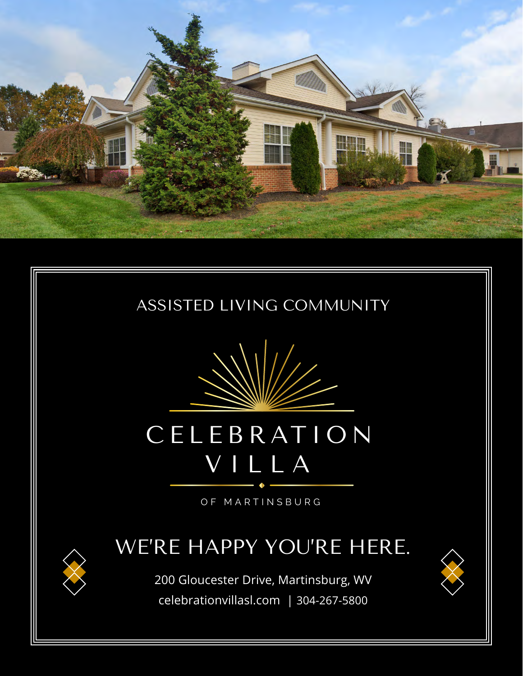

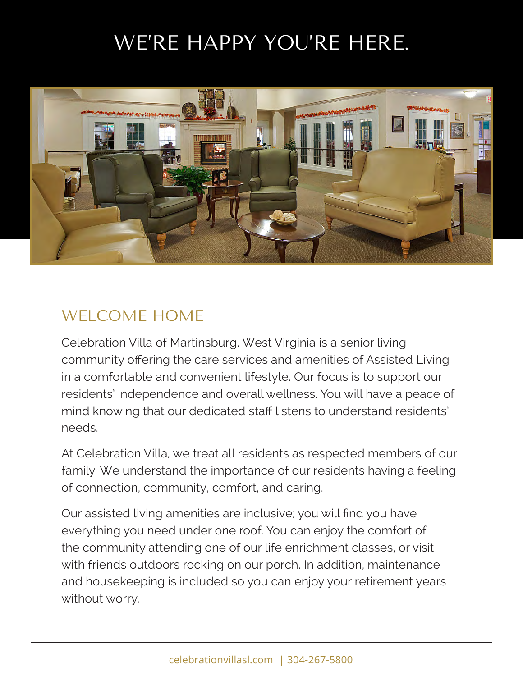# WE'RE HAPPY YOU'RE HERE.



#### WELCOME HOME

Celebration Villa of Martinsburg, West Virginia is a senior living community offering the care services and amenities of Assisted Living in a comfortable and convenient lifestyle. Our focus is to support our residents' independence and overall wellness. You will have a peace of mind knowing that our dedicated staff listens to understand residents' needs.

At Celebration Villa, we treat all residents as respected members of our family. We understand the importance of our residents having a feeling of connection, community, comfort, and caring.

Our assisted living amenities are inclusive; you will find you have everything you need under one roof. You can enjoy the comfort of the community attending one of our life enrichment classes, or visit with friends outdoors rocking on our porch. In addition, maintenance and housekeeping is included so you can enjoy your retirement years without worry.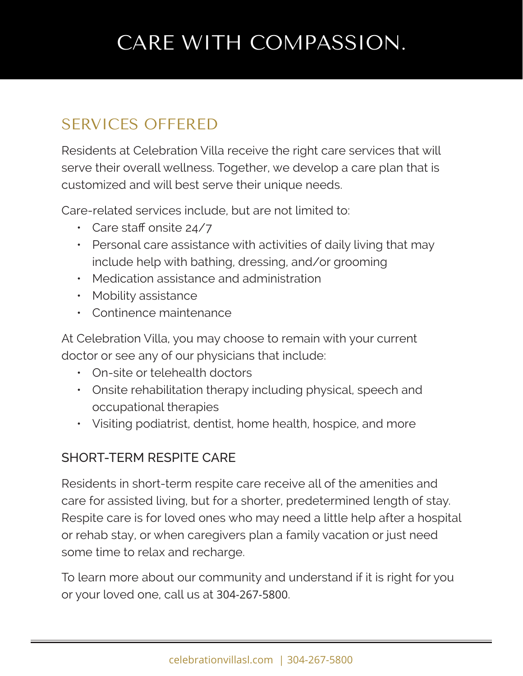# CARE WITH COMPASSION.

## SERVICES OFFERED

Residents at Celebration Villa receive the right care services that will serve their overall wellness. Together, we develop a care plan that is customized and will best serve their unique needs.

Care-related services include, but are not limited to:

- Care staff onsite 24/7
- Personal care assistance with activities of daily living that may include help with bathing, dressing, and/or grooming
- Medication assistance and administration
- Mobility assistance
- Continence maintenance

At Celebration Villa, you may choose to remain with your current doctor or see any of our physicians that include:

- On-site or telehealth doctors
- Onsite rehabilitation therapy including physical, speech and occupational therapies
- Visiting podiatrist, dentist, home health, hospice, and more

#### SHORT-TERM RESPITE CARE

Residents in short-term respite care receive all of the amenities and care for assisted living, but for a shorter, predetermined length of stay. Respite care is for loved ones who may need a little help after a hospital or rehab stay, or when caregivers plan a family vacation or just need some time to relax and recharge.

To learn more about our community and understand if it is right for you or your loved one, call us at 304-267-5800.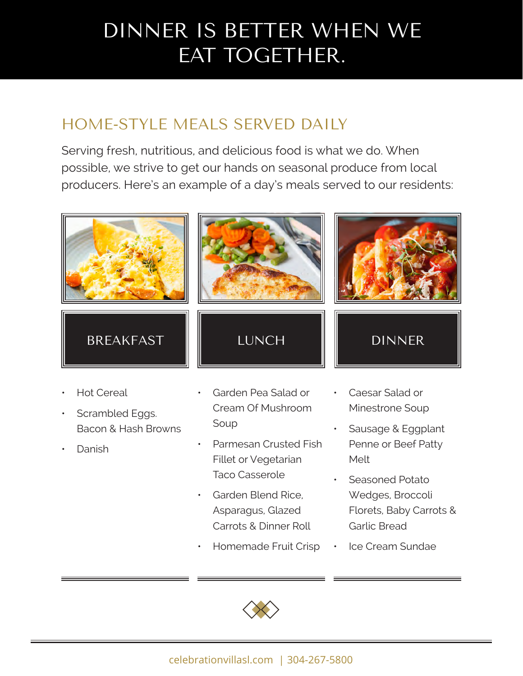## DINNER IS BETTER WHEN WE EAT TOGETHER.

## HOME-STYLE MEALS SERVED DAILY

Serving fresh, nutritious, and delicious food is what we do. When possible, we strive to get our hands on seasonal produce from local producers. Here's an example of a day's meals served to our residents:



- Seasoned Potato Wedges, Broccoli Florets, Baby Carrots & Garlic Bread
- Homemade Fruit Crisp · Ice Cream Sundae



• Garden Blend Rice, Asparagus, Glazed Carrots & Dinner Roll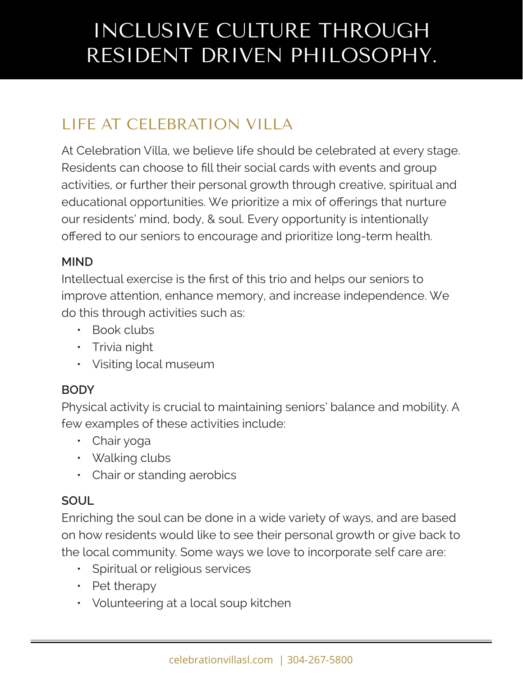# INCLUSIVE CULTURE THROUGH RESIDENT DRIVEN PHILOSOPHY.

## LIFE AT CELEBRATION VILLA

At Celebration Villa, we believe life should be celebrated at every stage. Residents can choose to fill their social cards with events and group activities, or further their personal growth through creative, spiritual and educational opportunities. We prioritize a mix of offerings that nurture our residents' mind, body, & soul. Every opportunity is intentionally offered to our seniors to encourage and prioritize long-term health.

#### **MIND**

Intellectual exercise is the first of this trio and helps our seniors to improve attention, enhance memory, and increase independence. We do this through activities such as:

- Book clubs
- Trivia night
- Visiting local museum

#### **BODY**

Physical activity is crucial to maintaining seniors' balance and mobility. A few examples of these activities include:

- Chair yoga
- Walking clubs
- Chair or standing aerobics

#### **SOUL**

Enriching the soul can be done in a wide variety of ways, and are based on how residents would like to see their personal growth or give back to the local community. Some ways we love to incorporate self care are:

- Spiritual or religious services
- Pet therapy
- Volunteering at a local soup kitchen